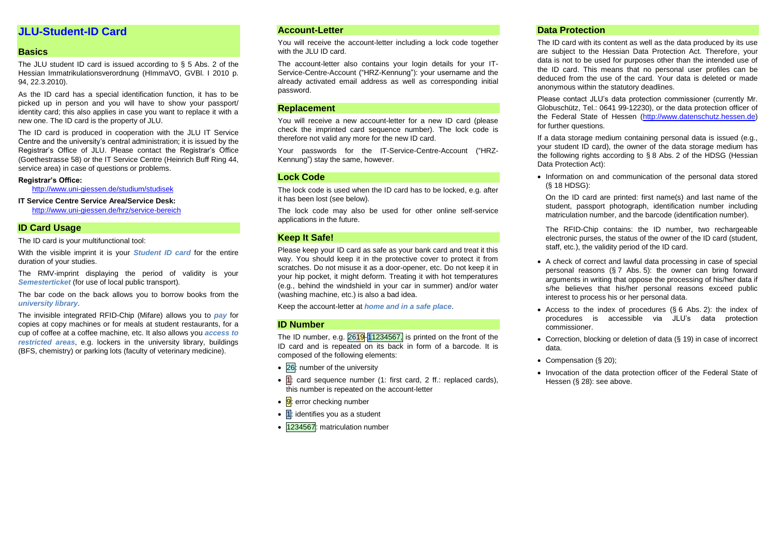## **JLU-Student-ID Card**

## **Basics**

The JLU student ID card is issued according to § 5 Abs. 2 of the Hessian Immatrikulationsverordnung (HImmaVO, GVBl. I 2010 p. 94, 22.3.2010).

As the ID card has a special identification function, it has to be picked up in person and you will have to show your passport/ identity card; this also applies in case you want to replace it with a new one. The ID card is the property of JLU.

The ID card is produced in cooperation with the JLU IT Service Centre and the university's central administration; it is issued by the Registrar's Office of JLU. Please contact the Registrar's Office (Goethestrasse 58) or the IT Service Centre (Heinrich Buff Ring 44, service area) in case of questions or problems.

#### **Registrar's Office:**

<http://www.uni-giessen.de/studium/studisek>

#### **IT Service Centre Service Area/Service Desk:**

<http://www.uni-giessen.de/hrz/service-bereich>

#### **ID Card Usage**

The ID card is your multifunctional tool:

With the visible imprint it is your *Student ID card* for the entire duration of your studies.

The RMV-imprint displaying the period of validity is your *Semesterticket* (for use of local public transport).

The bar code on the back allows you to borrow books from the *university library*.

The invisible integrated RFID-Chip (Mifare) allows you to *pay* for copies at copy machines or for meals at student restaurants, for a cup of coffee at a coffee machine, etc. It also allows you *access to restricted areas*, e.g. lockers in the university library, buildings (BFS, chemistry) or parking lots (faculty of veterinary medicine).

#### **Account-Letter**

You will receive the account-letter including a lock code together with the JLU ID card.

The account-letter also contains your login details for your IT-Service-Centre-Account ("HRZ-Kennung"): your username and the already activated email address as well as corresponding initial password.

#### **Replacement**

You will receive a new account-letter for a new ID card (please check the imprinted card sequence number). The lock code is therefore not valid any more for the new ID card.

Your passwords for the IT-Service-Centre-Account ("HRZ-Kennung") stay the same, however.

#### **Lock Code**

The lock code is used when the ID card has to be locked, e.g. after it has been lost (see below).

The lock code may also be used for other online self-service applications in the future.

#### **Keep It Safe!**

Please keep your ID card as safe as your bank card and treat it this way. You should keep it in the protective cover to protect it from scratches. Do not misuse it as a door-opener, etc. Do not keep it in your hip pocket, it might deform. Treating it with hot temperatures (e.g., behind the windshield in your car in summer) and/or water (washing machine, etc.) is also a bad idea.

Keep the account-letter at *home and in a safe place*.

#### **ID Number**

The ID number, e.g. 2619-11234567, is printed on the front of the ID card and is repeated on its back in form of a barcode. It is composed of the following elements:

- 26: number of the university
- $\bullet$   $\overline{1}$ : card sequence number (1: first card, 2 ff.: replaced cards), this number is repeated on the account-letter
- $\cdot$   $\overline{9}$ : error checking number
- $\bullet$  1: identifies you as a student
- 1234567: matriculation number

#### **Data Protection**

The ID card with its content as well as the data produced by its use are subject to the Hessian Data Protection Act. Therefore, your data is not to be used for purposes other than the intended use of the ID card. This means that no personal user profiles can be deduced from the use of the card. Your data is deleted or made anonymous within the statutory deadlines.

Please contact JLU's data protection commissioner (currently Mr. Globuschütz, Tel.: 0641 99-12230), or the data protection officer of the Federal State of Hessen [\(http://www.datenschutz.hessen.de\)](http://www.datenschutz.hessen.de/) for further questions.

If a data storage medium containing personal data is issued (e.g., your student ID card), the owner of the data storage medium has the following rights according to § 8 Abs. 2 of the HDSG (Hessian Data Protection Act):

• Information on and communication of the personal data stored (§ 18 HDSG):

On the ID card are printed: first name(s) and last name of the student, passport photograph, identification number including matriculation number, and the barcode (identification number).

The RFID-Chip contains: the ID number, two rechargeable electronic purses, the status of the owner of the ID card (student, staff, etc.), the validity period of the ID card.

- A check of correct and lawful data processing in case of special personal reasons (§ 7 Abs. 5): the owner can bring forward arguments in writing that oppose the processing of his/her data if s/he believes that his/her personal reasons exceed public interest to process his or her personal data.
- Access to the index of procedures (§ 6 Abs. 2): the index of procedures is accessible via JLU's data protection commissioner.
- Correction, blocking or deletion of data (§ 19) in case of incorrect data.
- Compensation (§ 20);
- Invocation of the data protection officer of the Federal State of Hessen (§ 28): see above.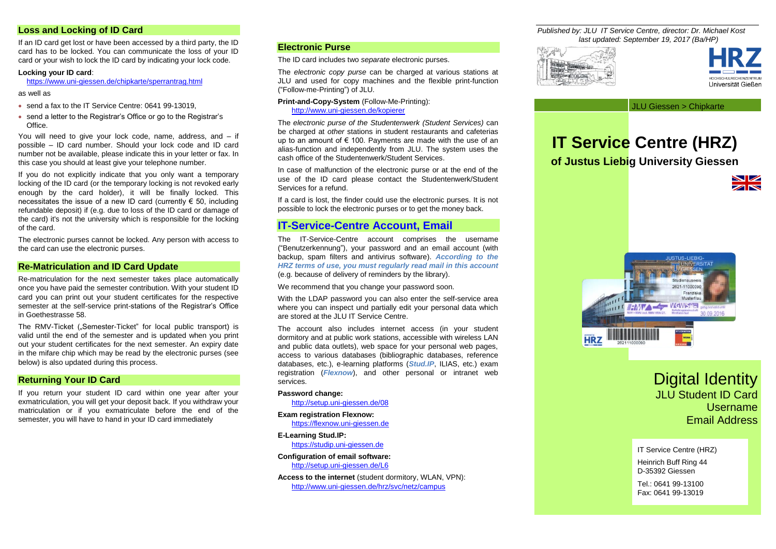#### **Loss and Locking of ID Card**

If an ID card get lost or have been accessed by a third party, the ID card has to be locked. You can communicate the loss of your ID card or your wish to lock the ID card by indicating your lock code.

#### **Locking your ID card**:

<https://www.uni-giessen.de/chipkarte/sperrantrag.html>

as well as

- send a fax to the IT Service Centre: 0641 99-13019,
- send a letter to the Registrar's Office or go to the Registrar's Office.

You will need to give your lock code, name, address, and – if possible – ID card number. Should your lock code and ID card number not be available, please indicate this in your letter or fax. In this case you should at least give your telephone number.

If you do not explicitly indicate that you only want a temporary locking of the ID card (or the temporary locking is not revoked early enough by the card holder), it will be finally locked. This necessitates the issue of a new ID card (currently  $\epsilon$  50, including refundable deposit) if (e.g. due to loss of the ID card or damage of the card) it's not the university which is responsible for the locking of the card.

The electronic purses cannot be locked. Any person with access to the card can use the electronic purses.

#### **Re-Matriculation and ID Card Update**

Re-matriculation for the next semester takes place automatically once you have paid the semester contribution. With your student ID card you can print out your student certificates for the respective semester at the self-service print-stations of the Registrar's Office in Goethestrasse 58.

The RMV-Ticket (...Semester-Ticket" for local public transport) is valid until the end of the semester and is updated when you print out your student certificates for the next semester. An expiry date in the mifare chip which may be read by the electronic purses (see below) is also updated during this process.

#### **Returning Your ID Card**

If you return your student ID card within one year after your exmatriculation, you will get your deposit back. If you withdraw your matriculation or if you exmatriculate before the end of the semester, you will have to hand in your ID card immediately

## **Electronic Purse**

The ID card includes two *separate* electronic purses.

The *electronic copy purse* can be charged at various stations at JLU and used for copy machines and the flexible print-function ("Follow-me-Printing") of JLU.

**Print-and-Copy-System** (Follow-Me-Printing): <http://www.uni-giessen.de/kopierer>

The *electronic purse of the Studentenwerk (Student Services)* can be charged at *other* stations in student restaurants and cafeterias up to an amount of  $\epsilon$  100. Payments are made with the use of an alias-function and independently from JLU. The system uses the cash office of the Studentenwerk/Student Services.

In case of malfunction of the electronic purse or at the end of the use of the ID card please contact the Studentenwerk/Student Services for a refund.

If a card is lost, the finder could use the electronic purses. It is not possible to lock the electronic purses or to get the money back.

## **IT-Service-Centre Account, Email**

The IT-Service-Centre account comprises the username ("Benutzerkennung"), your password and an email account (with backup, spam filters and antivirus software). *According to the HRZ terms of use, you must regularly read mail in this account* (e.g. because of delivery of reminders by the library).

We recommend that you change your password soon.

With the LDAP password you can also enter the self-service area where you can inspect und partially edit your personal data which are stored at the JLU IT Service Centre.

The account also includes internet access (in your student dormitory and at public work stations, accessible with wireless LAN and public data outlets), web space for your personal web pages, access to various databases (bibliographic databases, reference databases, etc.), e-learning platforms (*Stud.IP*, ILIAS, etc.) exam registration (*Flexnow*), and other personal or intranet web services.

#### **Password change:**

<http://setup.uni-giessen.de/08>

#### **Exam registration Flexnow:**

[https://flexnow.uni-giessen.de](https://flexnow.uni-giessen.de/)

**E-Learning Stud.IP:**

[https://studip.uni-giessen.de](https://studip.uni-giessen.de/)

**Configuration of email software:** <http://setup.uni-giessen.de/L6>

**Access to the internet** (student dormitory, WLAN, VPN): <http://www.uni-giessen.de/hrz/svc/netz/campus>

*Published by: JLU IT Service Centre, director: Dr. Michael Kost last updated: September 19, 2017 (Ba/HP)*





JLU Giessen > Chipkarte

# **IT Service Centre (HRZ) of Justus Liebig University Giessen**





## Digital Identity JLU Student ID Card Username Email Address

IT Service Centre (HRZ)

Heinrich Buff Ring 44 D-35392 Giessen

Tel.: 0641 99-13100 Fax: 0641 99-13019